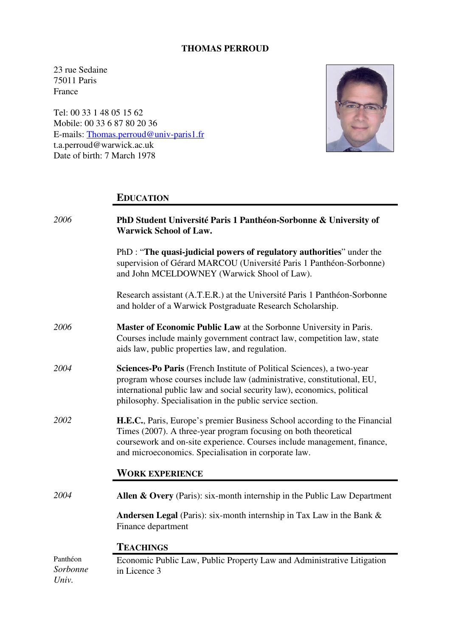### **THOMAS PERROUD**

23 rue Sedaine 75011 Paris France

Tel: 00 33 1 48 05 15 62 Mobile: 00 33 6 87 80 20 36 E-mails: Thomas.perroud@univ-paris1.fr t.a.perroud@warwick.ac.uk Date of birth: 7 March 1978



# **EDUCATION**

| 2006                          | PhD Student Université Paris 1 Panthéon-Sorbonne & University of<br><b>Warwick School of Law.</b>                                                                                                                                                                                        |
|-------------------------------|------------------------------------------------------------------------------------------------------------------------------------------------------------------------------------------------------------------------------------------------------------------------------------------|
|                               | PhD : "The quasi-judicial powers of regulatory authorities" under the<br>supervision of Gérard MARCOU (Université Paris 1 Panthéon-Sorbonne)<br>and John MCELDOWNEY (Warwick Shool of Law).                                                                                              |
|                               | Research assistant (A.T.E.R.) at the Université Paris 1 Panthéon-Sorbonne<br>and holder of a Warwick Postgraduate Research Scholarship.                                                                                                                                                  |
| 2006                          | Master of Economic Public Law at the Sorbonne University in Paris.<br>Courses include mainly government contract law, competition law, state<br>aids law, public properties law, and regulation.                                                                                         |
| 2004                          | Sciences-Po Paris (French Institute of Political Sciences), a two-year<br>program whose courses include law (administrative, constitutional, EU,<br>international public law and social security law), economics, political<br>philosophy. Specialisation in the public service section. |
| 2002                          | H.E.C., Paris, Europe's premier Business School according to the Financial<br>Times (2007). A three-year program focusing on both theoretical<br>coursework and on-site experience. Courses include management, finance,<br>and microeconomics. Specialisation in corporate law.         |
|                               | <b>WORK EXPERIENCE</b>                                                                                                                                                                                                                                                                   |
| 2004                          | Allen & Overy (Paris): six-month internship in the Public Law Department                                                                                                                                                                                                                 |
|                               | <b>Andersen Legal</b> (Paris): six-month internship in Tax Law in the Bank $\&$<br>Finance department                                                                                                                                                                                    |
|                               | <b>TEACHINGS</b>                                                                                                                                                                                                                                                                         |
| Panthéon<br>Sorbonne<br>Univ. | Economic Public Law, Public Property Law and Administrative Litigation<br>in Licence 3                                                                                                                                                                                                   |